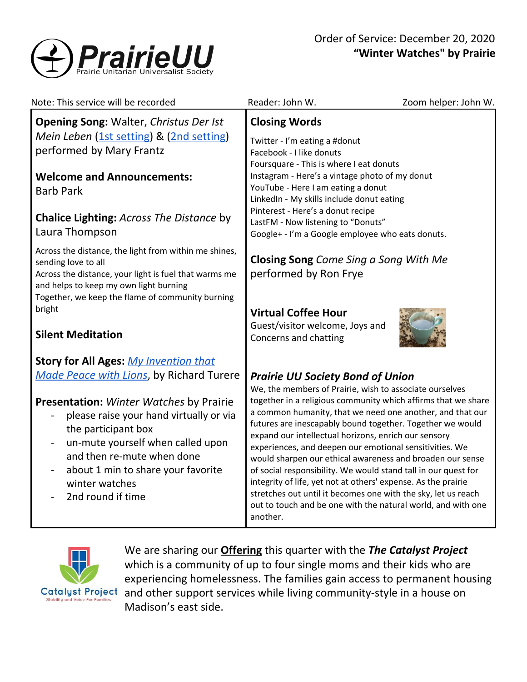

| Note: This service will be recorded                                                                                                                                                                                                                                                                                                                          | Reader: John W.<br>Zoom helper: John W.                                                                                                                                                                                                                                                                                                                                                                                                                                                                                                                                                                                                                                                                                                                       |
|--------------------------------------------------------------------------------------------------------------------------------------------------------------------------------------------------------------------------------------------------------------------------------------------------------------------------------------------------------------|---------------------------------------------------------------------------------------------------------------------------------------------------------------------------------------------------------------------------------------------------------------------------------------------------------------------------------------------------------------------------------------------------------------------------------------------------------------------------------------------------------------------------------------------------------------------------------------------------------------------------------------------------------------------------------------------------------------------------------------------------------------|
| <b>Opening Song: Walter, Christus Der Ist</b><br>Mein Leben (1st setting) & (2nd setting)<br>performed by Mary Frantz<br><b>Welcome and Announcements:</b><br><b>Barb Park</b>                                                                                                                                                                               | <b>Closing Words</b><br>Twitter - I'm eating a #donut<br>Facebook - I like donuts<br>Foursquare - This is where I eat donuts<br>Instagram - Here's a vintage photo of my donut<br>YouTube - Here I am eating a donut<br>LinkedIn - My skills include donut eating<br>Pinterest - Here's a donut recipe                                                                                                                                                                                                                                                                                                                                                                                                                                                        |
| <b>Chalice Lighting: Across The Distance by</b><br>Laura Thompson                                                                                                                                                                                                                                                                                            | LastFM - Now listening to "Donuts"<br>Google+ - I'm a Google employee who eats donuts.                                                                                                                                                                                                                                                                                                                                                                                                                                                                                                                                                                                                                                                                        |
| Across the distance, the light from within me shines,<br>sending love to all<br>Across the distance, your light is fuel that warms me<br>and helps to keep my own light burning<br>Together, we keep the flame of community burning                                                                                                                          | <b>Closing Song Come Sing a Song With Me</b><br>performed by Ron Frye                                                                                                                                                                                                                                                                                                                                                                                                                                                                                                                                                                                                                                                                                         |
| bright<br><b>Silent Meditation</b>                                                                                                                                                                                                                                                                                                                           | <b>Virtual Coffee Hour</b><br>Guest/visitor welcome, Joys and<br>Concerns and chatting                                                                                                                                                                                                                                                                                                                                                                                                                                                                                                                                                                                                                                                                        |
| <b>Story for All Ages: My Invention that</b><br>Made Peace with Lions, by Richard Turere<br><b>Presentation:</b> Winter Watches by Prairie<br>please raise your hand virtually or via<br>the participant box<br>un-mute yourself when called upon<br>and then re-mute when done<br>about 1 min to share your favorite<br>winter watches<br>2nd round if time | <b>Prairie UU Society Bond of Union</b><br>We, the members of Prairie, wish to associate ourselves<br>together in a religious community which affirms that we share<br>a common humanity, that we need one another, and that our<br>futures are inescapably bound together. Together we would<br>expand our intellectual horizons, enrich our sensory<br>experiences, and deepen our emotional sensitivities. We<br>would sharpen our ethical awareness and broaden our sense<br>of social responsibility. We would stand tall in our quest for<br>integrity of life, yet not at others' expense. As the prairie<br>stretches out until it becomes one with the sky, let us reach<br>out to touch and be one with the natural world, and with one<br>another. |
|                                                                                                                                                                                                                                                                                                                                                              | We are sharing our <b>Offering</b> this quarter with the The Catalyst Project<br>which is a community of up to four single moms and their kids who are                                                                                                                                                                                                                                                                                                                                                                                                                                                                                                                                                                                                        |

a community of up to four single moms and their kids who a experiencing homelessness. The families gain access to permanent housing Catalyst Project and other support services while living community-style in a house on Madison's east side.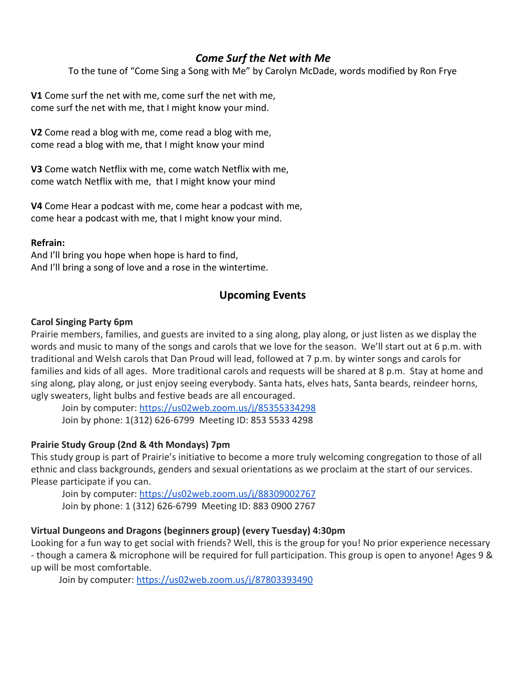# *Come Surf the Net with Me*

To the tune of "Come Sing a Song with Me" by Carolyn McDade, words modified by Ron Frye

**V1** Come surf the net with me, come surf the net with me, come surf the net with me, that I might know your mind.

**V2** Come read a blog with me, come read a blog with me, come read a blog with me, that I might know your mind

**V3** Come watch Netflix with me, come watch Netflix with me, come watch Netflix with me, that I might know your mind

**V4** Come Hear a podcast with me, come hear a podcast with me, come hear a podcast with me, that I might know your mind.

#### **Refrain:**

And I'll bring you hope when hope is hard to find, And I'll bring a song of love and a rose in the wintertime.

## **Upcoming Events**

## **Carol Singing Party 6pm**

Prairie members, families, and guests are invited to a sing along, play along, or just listen as we display the words and music to many of the songs and carols that we love for the season. We'll start out at 6 p.m. with traditional and Welsh carols that Dan Proud will lead, followed at 7 p.m. by winter songs and carols for families and kids of all ages. More traditional carols and requests will be shared at 8 p.m. Stay at home and sing along, play along, or just enjoy seeing everybody. Santa hats, elves hats, Santa beards, reindeer horns, ugly sweaters, light bulbs and festive beads are all encouraged.

[Join by computer](https://us02web.zoom.us/j/85355334298):<https://us02web.zoom.us/j/85355334298> Join by phone: 1(312) 626-6799 Meeting ID: 853 5533 4298

## **Prairie Study Group (2nd & 4th Mondays) 7pm**

This study group is part of Prairie's initiative to become a more truly welcoming congregation to those of all ethnic and class backgrounds, genders and sexual orientations as we proclaim at the start of our services. Please participate if you can.

Join by computer: <https://us02web.zoom.us/j/88309002767> Join by phone: 1 (312) 626-6799 Meeting ID: 883 0900 2767

## **Virtual Dungeons and Dragons (beginners group) (every Tuesday) 4:30pm**

Looking for a fun way to get social with friends? Well, this is the group for you! No prior experience necessary - though a camera & microphone will be required for full participation. This group is open to anyone! Ages 9 & up will be most comfortable.

Join by computer: <https://us02web.zoom.us/j/87803393490>